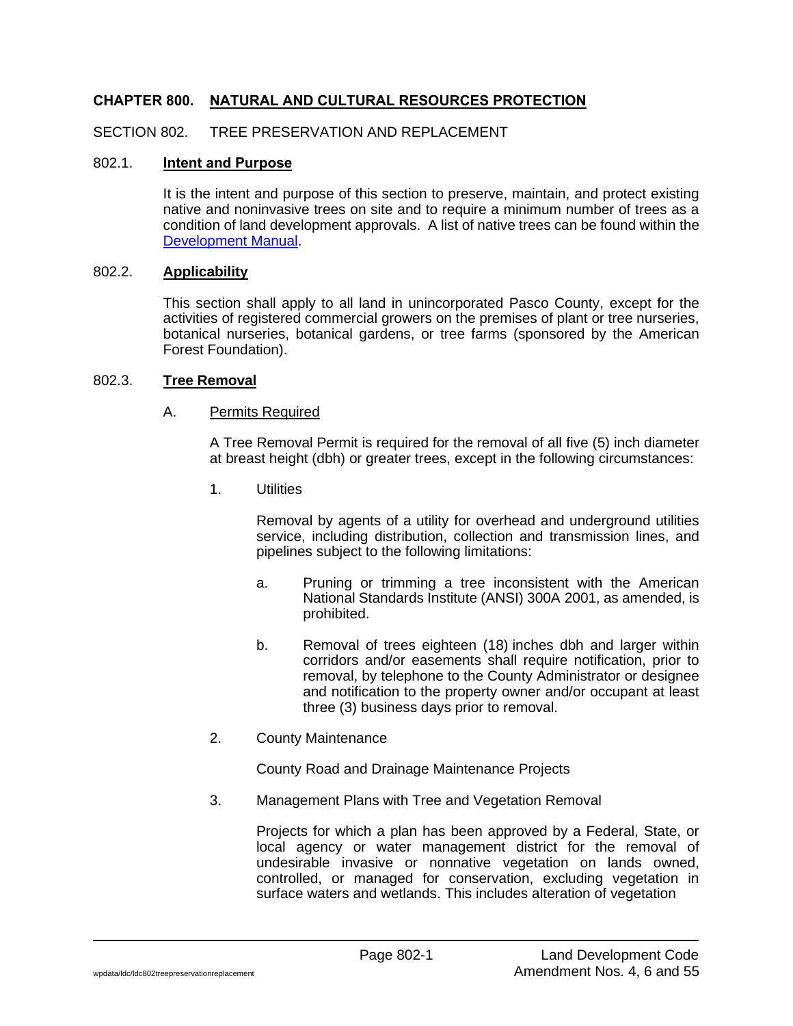# **CHAPTER 800. NATURAL AND CULTURAL RESOURCES PROTECTION**

### SECTION 802. TREE PRESERVATION AND REPLACEMENT

# 802.1. **Intent and Purpose**

It is the intent and purpose of this section to preserve, maintain, and protect existing native and noninvasive trees on site and to require a minimum number of trees as a condition of land development approvals. A list of native trees can be found within the [Development](https://www.pascocountyfl.net/DocumentCenter/View/57888/Development-Manual) Manual.

#### 802.2. **Applicability**

This section shall apply to all land in unincorporated Pasco County, except for the activities of registered commercial growers on the premises of plant or tree nurseries, botanical nurseries, botanical gardens, or tree farms (sponsored by the American Forest Foundation).

#### 802.3. **Tree Removal**

#### A. Permits Required

A Tree Removal Permit is required for the removal of all five (5) inch diameter at breast height (dbh) or greater trees, except in the following circumstances:

1. Utilities

Removal by agents of a utility for overhead and underground utilities service, including distribution, collection and transmission lines, and pipelines subject to the following limitations:

- a. Pruning or trimming a tree inconsistent with the American National Standards Institute (ANSI) 300A 2001, as amended, is prohibited.
- b. Removal of trees eighteen (18) inches dbh and larger within corridors and/or easements shall require notification, prior to removal, by telephone to the County Administrator or designee and notification to the property owner and/or occupant at least three (3) business days prior to removal.
- 2. County Maintenance

County Road and Drainage Maintenance Projects

3. Management Plans with Tree and Vegetation Removal

Projects for which a plan has been approved by a Federal, State, or local agency or water management district for the removal of undesirable invasive or nonnative vegetation on lands owned, controlled, or managed for conservation, excluding vegetation in surface waters and wetlands. This includes alteration of vegetation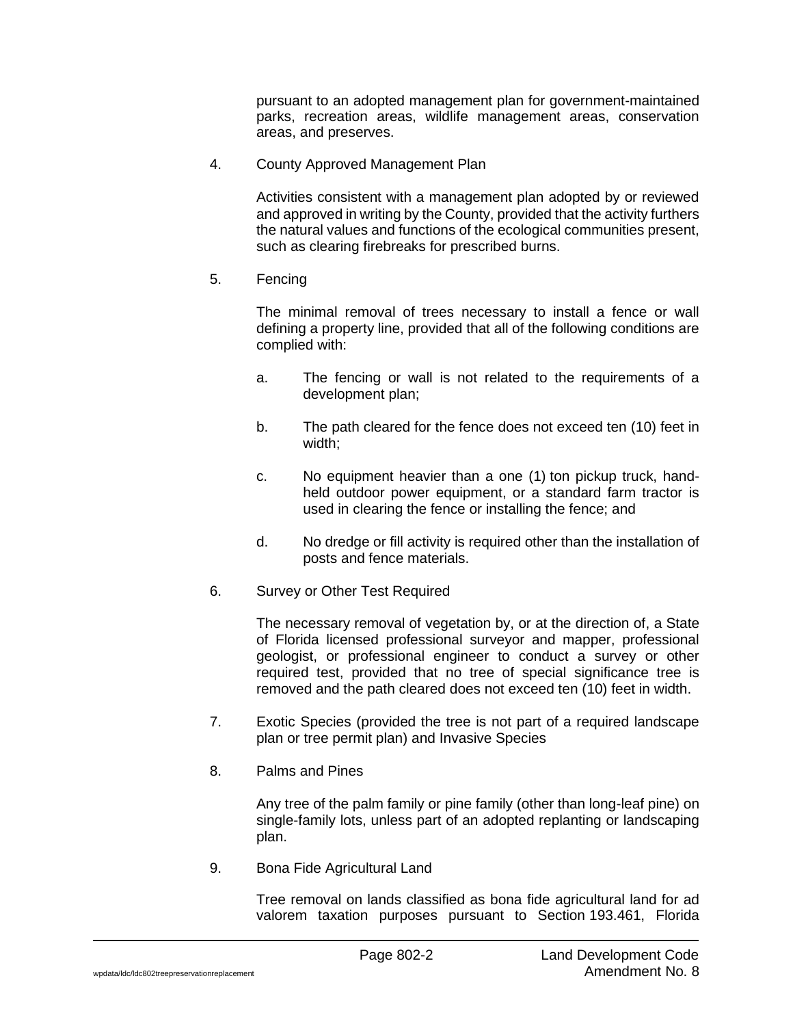pursuant to an adopted management plan for government-maintained parks, recreation areas, wildlife management areas, conservation areas, and preserves.

4. County Approved Management Plan

Activities consistent with a management plan adopted by or reviewed and approved in writing by the County, provided that the activity furthers the natural values and functions of the ecological communities present, such as clearing firebreaks for prescribed burns.

5. Fencing

The minimal removal of trees necessary to install a fence or wall defining a property line, provided that all of the following conditions are complied with:

- a. The fencing or wall is not related to the requirements of a development plan;
- b. The path cleared for the fence does not exceed ten (10) feet in width;
- c. No equipment heavier than a one (1) ton pickup truck, handheld outdoor power equipment, or a standard farm tractor is used in clearing the fence or installing the fence; and
- d. No dredge or fill activity is required other than the installation of posts and fence materials.
- 6. Survey or Other Test Required

The necessary removal of vegetation by, or at the direction of, a State of Florida licensed professional surveyor and mapper, professional geologist, or professional engineer to conduct a survey or other required test, provided that no tree of special significance tree is removed and the path cleared does not exceed ten (10) feet in width.

- 7. Exotic Species (provided the tree is not part of a required landscape plan or tree permit plan) and Invasive Species
- 8. Palms and Pines

Any tree of the palm family or pine family (other than long-leaf pine) on single-family lots, unless part of an adopted replanting or landscaping plan.

9. Bona Fide Agricultural Land

Tree removal on lands classified as bona fide agricultural land for ad valorem taxation purposes pursuant to Section 193.461, Florida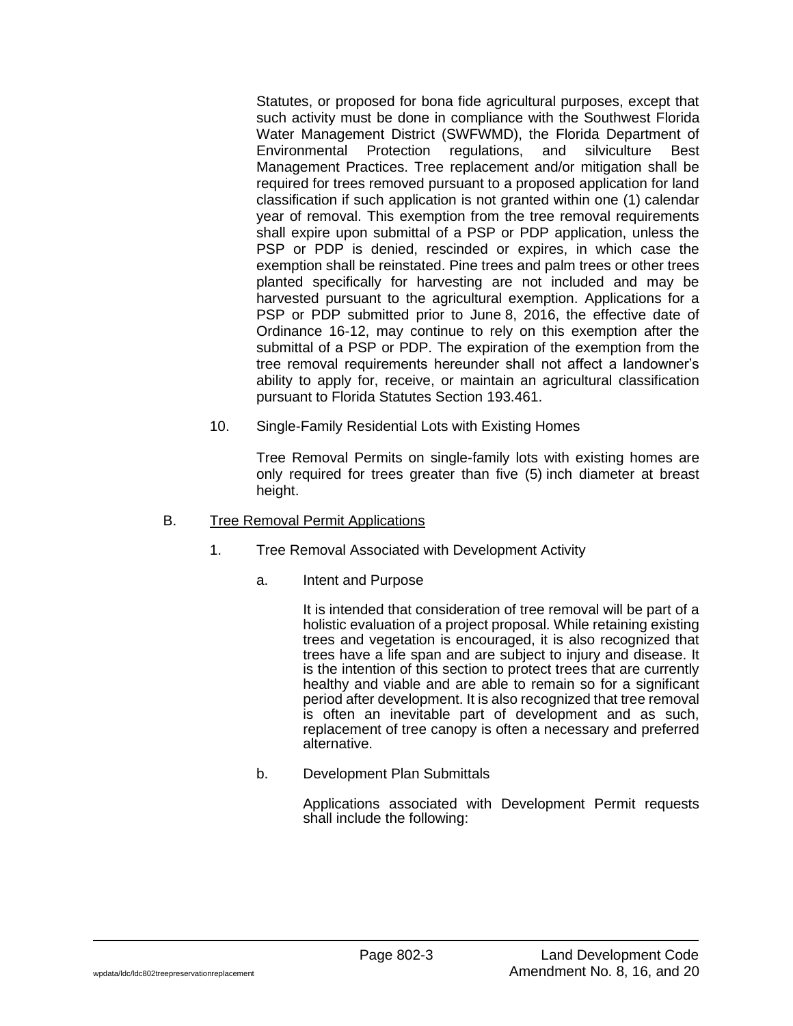Statutes, or proposed for bona fide agricultural purposes, except that such activity must be done in compliance with the Southwest Florida Water Management District (SWFWMD), the Florida Department of Environmental Protection regulations, and silviculture Best Management Practices. Tree replacement and/or mitigation shall be required for trees removed pursuant to a proposed application for land classification if such application is not granted within one (1) calendar year of removal. This exemption from the tree removal requirements shall expire upon submittal of a PSP or PDP application, unless the PSP or PDP is denied, rescinded or expires, in which case the exemption shall be reinstated. Pine trees and palm trees or other trees planted specifically for harvesting are not included and may be harvested pursuant to the agricultural exemption. Applications for a PSP or PDP submitted prior to June 8, 2016, the effective date of Ordinance 16-12, may continue to rely on this exemption after the submittal of a PSP or PDP. The expiration of the exemption from the tree removal requirements hereunder shall not affect a landowner's ability to apply for, receive, or maintain an agricultural classification pursuant to Florida Statutes Section 193.461.

10. Single-Family Residential Lots with Existing Homes

Tree Removal Permits on single-family lots with existing homes are only required for trees greater than five (5) inch diameter at breast height.

- B. Tree Removal Permit Applications
	- 1. Tree Removal Associated with Development Activity
		- a. Intent and Purpose

It is intended that consideration of tree removal will be part of a holistic evaluation of a project proposal. While retaining existing trees and vegetation is encouraged, it is also recognized that trees have a life span and are subject to injury and disease. It is the intention of this section to protect trees that are currently healthy and viable and are able to remain so for a significant period after development. It is also recognized that tree removal is often an inevitable part of development and as such, replacement of tree canopy is often a necessary and preferred alternative.

b. Development Plan Submittals

Applications associated with Development Permit requests shall include the following: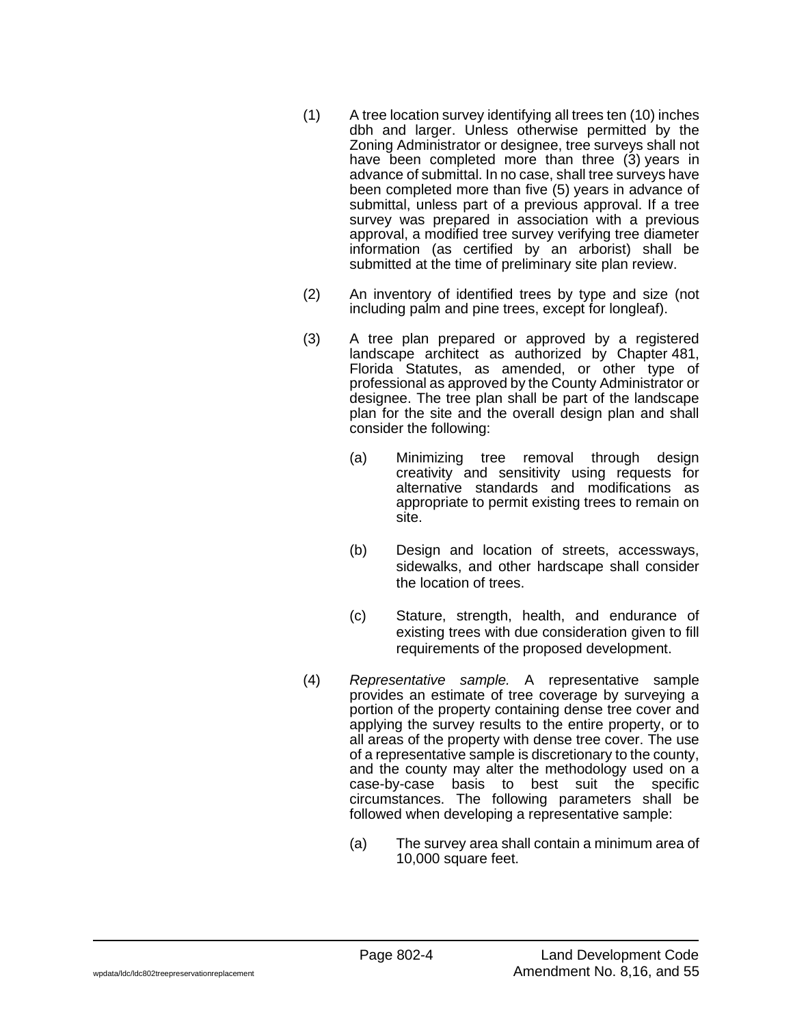- (1) A tree location survey identifying all trees ten (10) inches dbh and larger. Unless otherwise permitted by the Zoning Administrator or designee, tree surveys shall not have been completed more than three (3) years in advance of submittal. In no case, shall tree surveys have been completed more than five (5) years in advance of submittal, unless part of a previous approval. If a tree survey was prepared in association with a previous approval, a modified tree survey verifying tree diameter information (as certified by an arborist) shall be submitted at the time of preliminary site plan review.
- (2) An inventory of identified trees by type and size (not including palm and pine trees, except for longleaf).
- (3) A tree plan prepared or approved by a registered landscape architect as authorized by Chapter 481, Florida Statutes, as amended, or other type of professional as approved by the County Administrator or designee. The tree plan shall be part of the landscape plan for the site and the overall design plan and shall consider the following:
	- (a) Minimizing tree removal through design creativity and sensitivity using requests for alternative standards and modifications as appropriate to permit existing trees to remain on site.
	- (b) Design and location of streets, accessways, sidewalks, and other hardscape shall consider the location of trees.
	- (c) Stature, strength, health, and endurance of existing trees with due consideration given to fill requirements of the proposed development.
- (4) *Representative sample.* A representative sample provides an estimate of tree coverage by surveying a portion of the property containing dense tree cover and applying the survey results to the entire property, or to all areas of the property with dense tree cover. The use of a representative sample is discretionary to the county, and the county may alter the methodology used on a case-by-case basis to best suit the specific circumstances. The following parameters shall be followed when developing a representative sample:
	- (a) The survey area shall contain a minimum area of 10,000 square feet.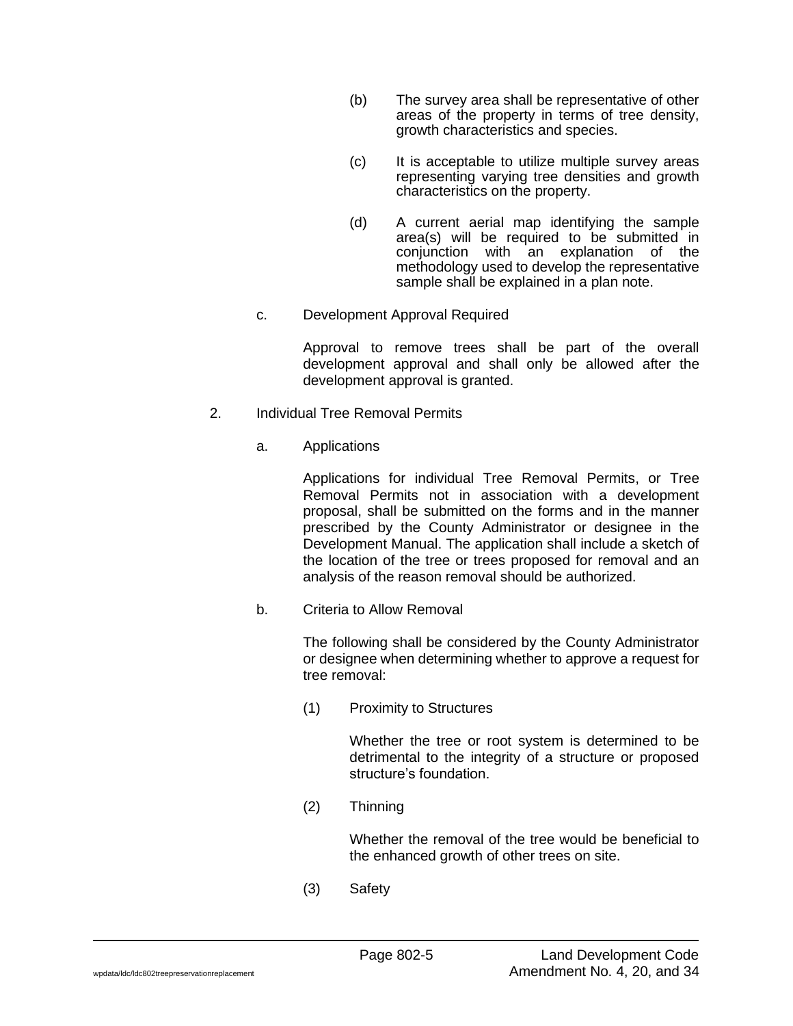- (b) The survey area shall be representative of other areas of the property in terms of tree density, growth characteristics and species.
- (c) It is acceptable to utilize multiple survey areas representing varying tree densities and growth characteristics on the property.
- (d) A current aerial map identifying the sample area(s) will be required to be submitted in conjunction with an explanation of the methodology used to develop the representative sample shall be explained in a plan note.
- c. Development Approval Required

Approval to remove trees shall be part of the overall development approval and shall only be allowed after the development approval is granted.

- 2. Individual Tree Removal Permits
	- a. Applications

Applications for individual Tree Removal Permits, or Tree Removal Permits not in association with a development proposal, shall be submitted on the forms and in the manner prescribed by the County Administrator or designee in the Development Manual. The application shall include a sketch of the location of the tree or trees proposed for removal and an analysis of the reason removal should be authorized.

b. Criteria to Allow Removal

The following shall be considered by the County Administrator or designee when determining whether to approve a request for tree removal:

(1) Proximity to Structures

Whether the tree or root system is determined to be detrimental to the integrity of a structure or proposed structure's foundation.

(2) Thinning

Whether the removal of the tree would be beneficial to the enhanced growth of other trees on site.

(3) Safety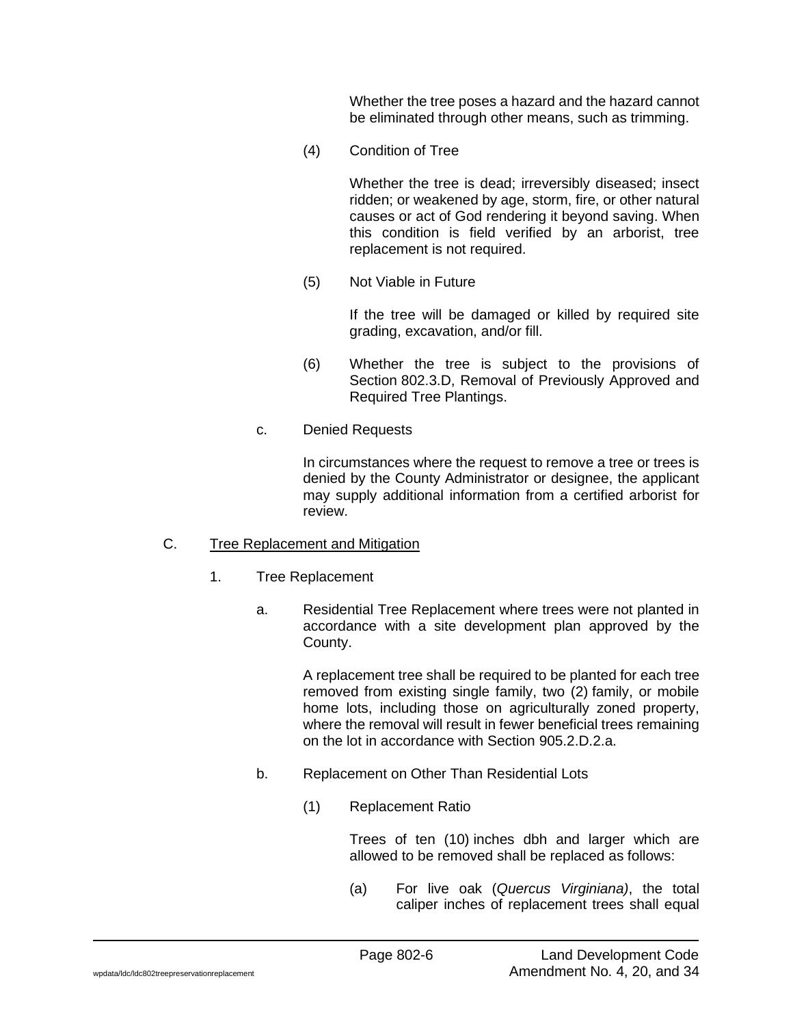Whether the tree poses a hazard and the hazard cannot be eliminated through other means, such as trimming.

(4) Condition of Tree

Whether the tree is dead; irreversibly diseased; insect ridden; or weakened by age, storm, fire, or other natural causes or act of God rendering it beyond saving. When this condition is field verified by an arborist, tree replacement is not required.

(5) Not Viable in Future

If the tree will be damaged or killed by required site grading, excavation, and/or fill.

- (6) Whether the tree is subject to the provisions of Section 802.3.D, Removal of Previously Approved and Required Tree Plantings.
- c. Denied Requests

In circumstances where the request to remove a tree or trees is denied by the County Administrator or designee, the applicant may supply additional information from a certified arborist for review.

#### C. Tree Replacement and Mitigation

- 1. Tree Replacement
	- a. Residential Tree Replacement where trees were not planted in accordance with a site development plan approved by the County.

A replacement tree shall be required to be planted for each tree removed from existing single family, two (2) family, or mobile home lots, including those on agriculturally zoned property, where the removal will result in fewer beneficial trees remaining on the lot in accordance with Section 905.2.D.2.a.

- b. Replacement on Other Than Residential Lots
	- (1) Replacement Ratio

Trees of ten (10) inches dbh and larger which are allowed to be removed shall be replaced as follows:

(a) For live oak (*Quercus Virginiana)*, the total caliper inches of replacement trees shall equal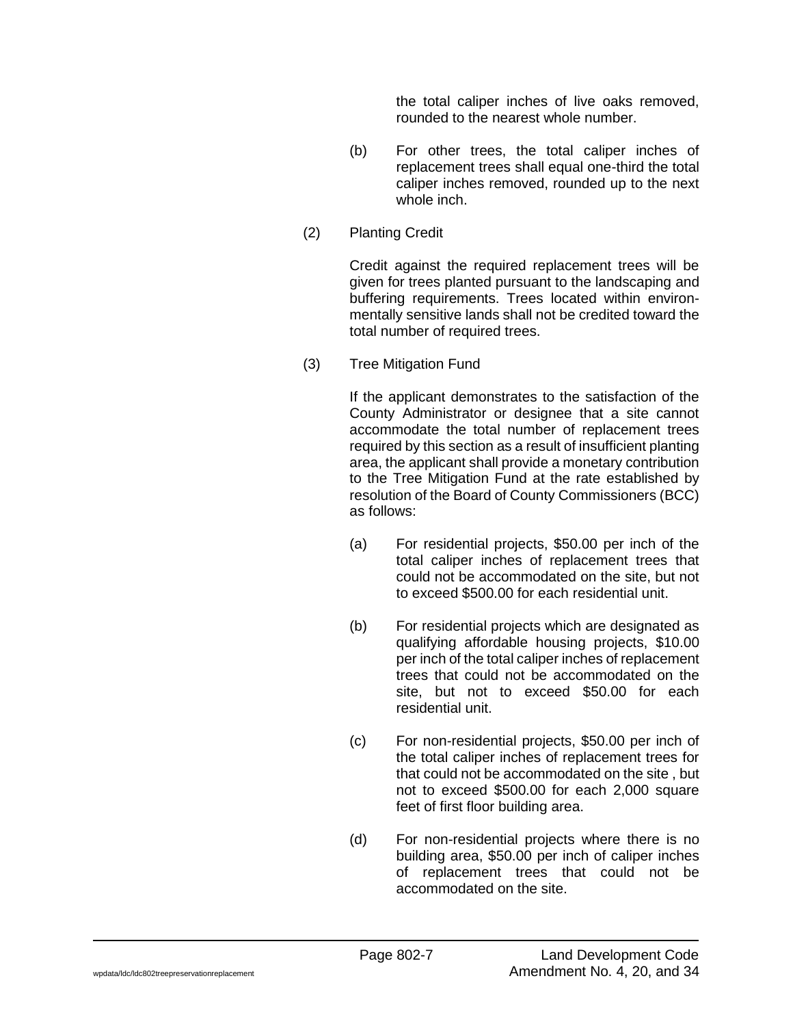the total caliper inches of live oaks removed, rounded to the nearest whole number.

- (b) For other trees, the total caliper inches of replacement trees shall equal one-third the total caliper inches removed, rounded up to the next whole inch.
- (2) Planting Credit

Credit against the required replacement trees will be given for trees planted pursuant to the landscaping and buffering requirements. Trees located within environmentally sensitive lands shall not be credited toward the total number of required trees.

(3) Tree Mitigation Fund

If the applicant demonstrates to the satisfaction of the County Administrator or designee that a site cannot accommodate the total number of replacement trees required by this section as a result of insufficient planting area, the applicant shall provide a monetary contribution to the Tree Mitigation Fund at the rate established by resolution of the Board of County Commissioners (BCC) as follows:

- (a) For residential projects, \$50.00 per inch of the total caliper inches of replacement trees that could not be accommodated on the site, but not to exceed \$500.00 for each residential unit.
- (b) For residential projects which are designated as qualifying affordable housing projects, \$10.00 per inch of the total caliper inches of replacement trees that could not be accommodated on the site, but not to exceed \$50.00 for each residential unit.
- (c) For non-residential projects, \$50.00 per inch of the total caliper inches of replacement trees for that could not be accommodated on the site , but not to exceed \$500.00 for each 2,000 square feet of first floor building area.
- (d) For non-residential projects where there is no building area, \$50.00 per inch of caliper inches of replacement trees that could not be accommodated on the site.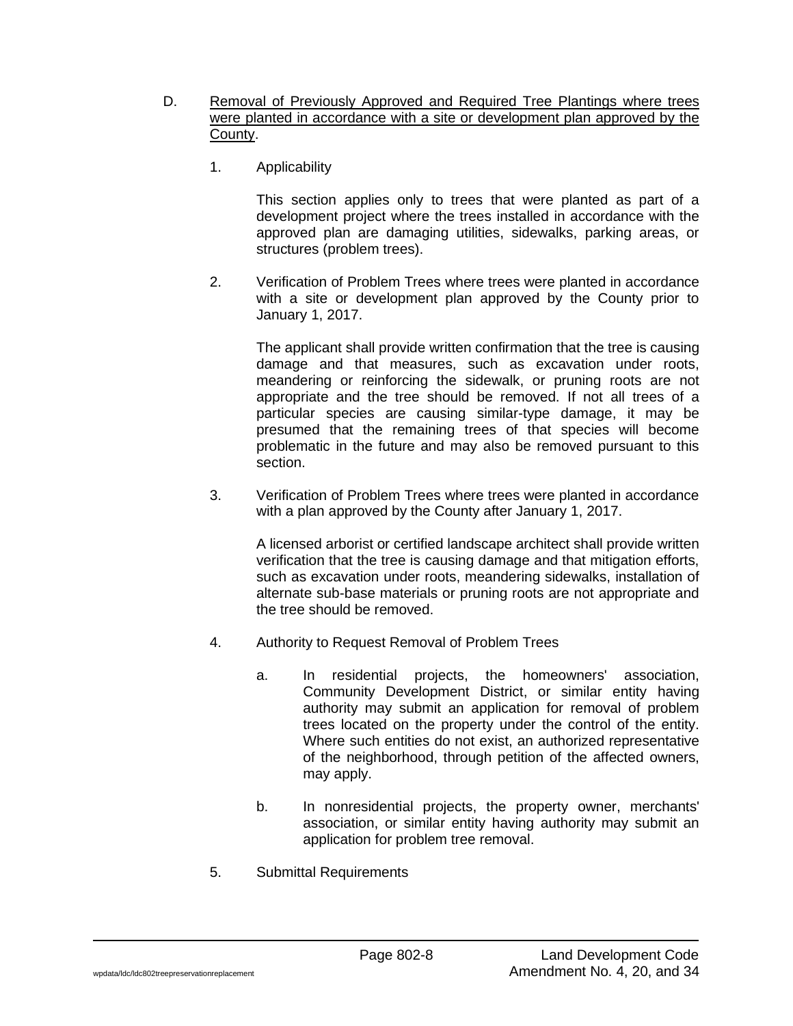- D. Removal of Previously Approved and Required Tree Plantings where trees were planted in accordance with a site or development plan approved by the County.
	- 1. Applicability

This section applies only to trees that were planted as part of a development project where the trees installed in accordance with the approved plan are damaging utilities, sidewalks, parking areas, or structures (problem trees).

2. Verification of Problem Trees where trees were planted in accordance with a site or development plan approved by the County prior to January 1, 2017.

The applicant shall provide written confirmation that the tree is causing damage and that measures, such as excavation under roots, meandering or reinforcing the sidewalk, or pruning roots are not appropriate and the tree should be removed. If not all trees of a particular species are causing similar-type damage, it may be presumed that the remaining trees of that species will become problematic in the future and may also be removed pursuant to this section.

3. Verification of Problem Trees where trees were planted in accordance with a plan approved by the County after January 1, 2017.

A licensed arborist or certified landscape architect shall provide written verification that the tree is causing damage and that mitigation efforts, such as excavation under roots, meandering sidewalks, installation of alternate sub-base materials or pruning roots are not appropriate and the tree should be removed.

- 4. Authority to Request Removal of Problem Trees
	- a. In residential projects, the homeowners' association, Community Development District, or similar entity having authority may submit an application for removal of problem trees located on the property under the control of the entity. Where such entities do not exist, an authorized representative of the neighborhood, through petition of the affected owners, may apply.
	- b. In nonresidential projects, the property owner, merchants' association, or similar entity having authority may submit an application for problem tree removal.
- 5. Submittal Requirements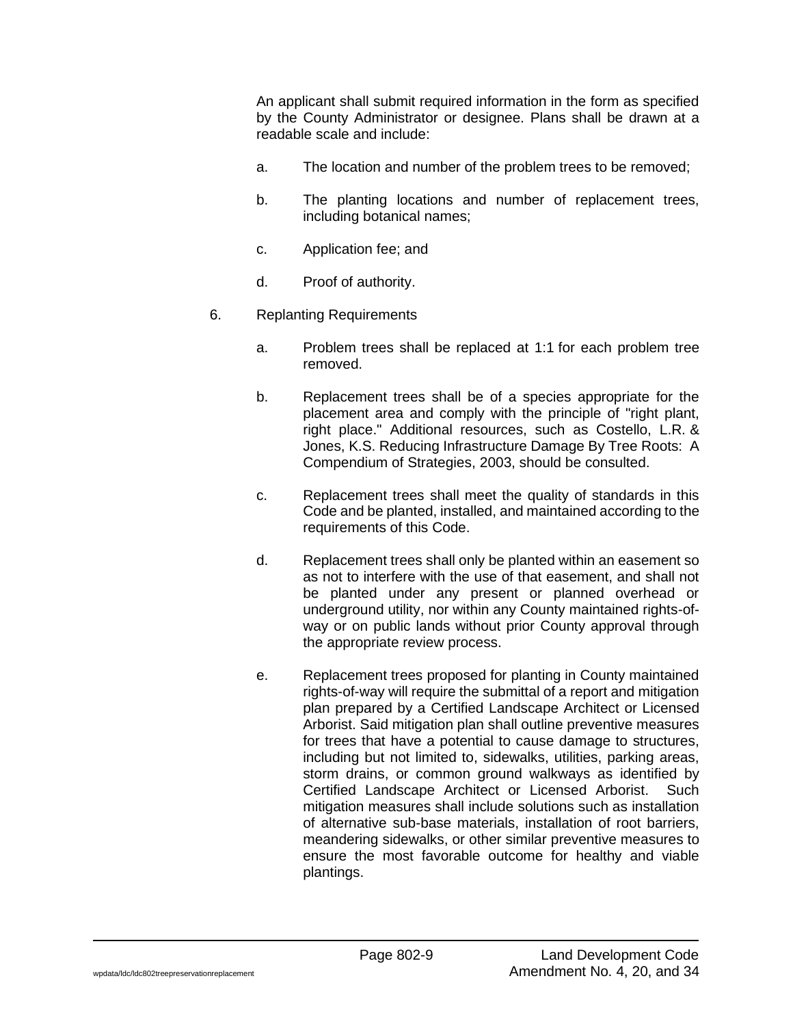An applicant shall submit required information in the form as specified by the County Administrator or designee. Plans shall be drawn at a readable scale and include:

- a. The location and number of the problem trees to be removed;
- b. The planting locations and number of replacement trees, including botanical names;
- c. Application fee; and
- d. Proof of authority.
- 6. Replanting Requirements
	- a. Problem trees shall be replaced at 1:1 for each problem tree removed.
	- b. Replacement trees shall be of a species appropriate for the placement area and comply with the principle of "right plant, right place." Additional resources, such as Costello, L.R. & Jones, K.S. Reducing Infrastructure Damage By Tree Roots: A Compendium of Strategies, 2003, should be consulted.
	- c. Replacement trees shall meet the quality of standards in this Code and be planted, installed, and maintained according to the requirements of this Code.
	- d. Replacement trees shall only be planted within an easement so as not to interfere with the use of that easement, and shall not be planted under any present or planned overhead or underground utility, nor within any County maintained rights-ofway or on public lands without prior County approval through the appropriate review process.
	- e. Replacement trees proposed for planting in County maintained rights-of-way will require the submittal of a report and mitigation plan prepared by a Certified Landscape Architect or Licensed Arborist. Said mitigation plan shall outline preventive measures for trees that have a potential to cause damage to structures, including but not limited to, sidewalks, utilities, parking areas, storm drains, or common ground walkways as identified by Certified Landscape Architect or Licensed Arborist. Such mitigation measures shall include solutions such as installation of alternative sub-base materials, installation of root barriers, meandering sidewalks, or other similar preventive measures to ensure the most favorable outcome for healthy and viable plantings.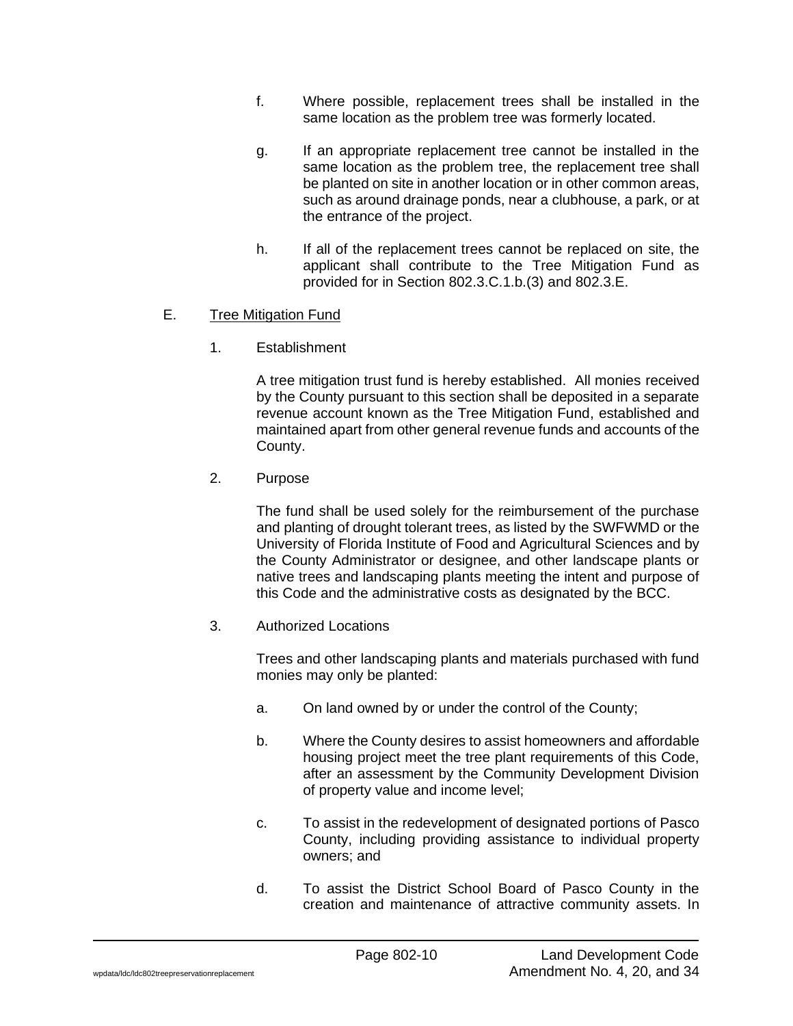- f. Where possible, replacement trees shall be installed in the same location as the problem tree was formerly located.
- g. If an appropriate replacement tree cannot be installed in the same location as the problem tree, the replacement tree shall be planted on site in another location or in other common areas, such as around drainage ponds, near a clubhouse, a park, or at the entrance of the project.
- h. If all of the replacement trees cannot be replaced on site, the applicant shall contribute to the Tree Mitigation Fund as provided for in Section 802.3.C.1.b.(3) and 802.3.E.

# E. Tree Mitigation Fund

1. Establishment

A tree mitigation trust fund is hereby established. All monies received by the County pursuant to this section shall be deposited in a separate revenue account known as the Tree Mitigation Fund, established and maintained apart from other general revenue funds and accounts of the County.

2. Purpose

The fund shall be used solely for the reimbursement of the purchase and planting of drought tolerant trees, as listed by the SWFWMD or the University of Florida Institute of Food and Agricultural Sciences and by the County Administrator or designee, and other landscape plants or native trees and landscaping plants meeting the intent and purpose of this Code and the administrative costs as designated by the BCC.

3. Authorized Locations

Trees and other landscaping plants and materials purchased with fund monies may only be planted:

- a. On land owned by or under the control of the County;
- b. Where the County desires to assist homeowners and affordable housing project meet the tree plant requirements of this Code, after an assessment by the Community Development Division of property value and income level;
- c. To assist in the redevelopment of designated portions of Pasco County, including providing assistance to individual property owners; and
- d. To assist the District School Board of Pasco County in the creation and maintenance of attractive community assets. In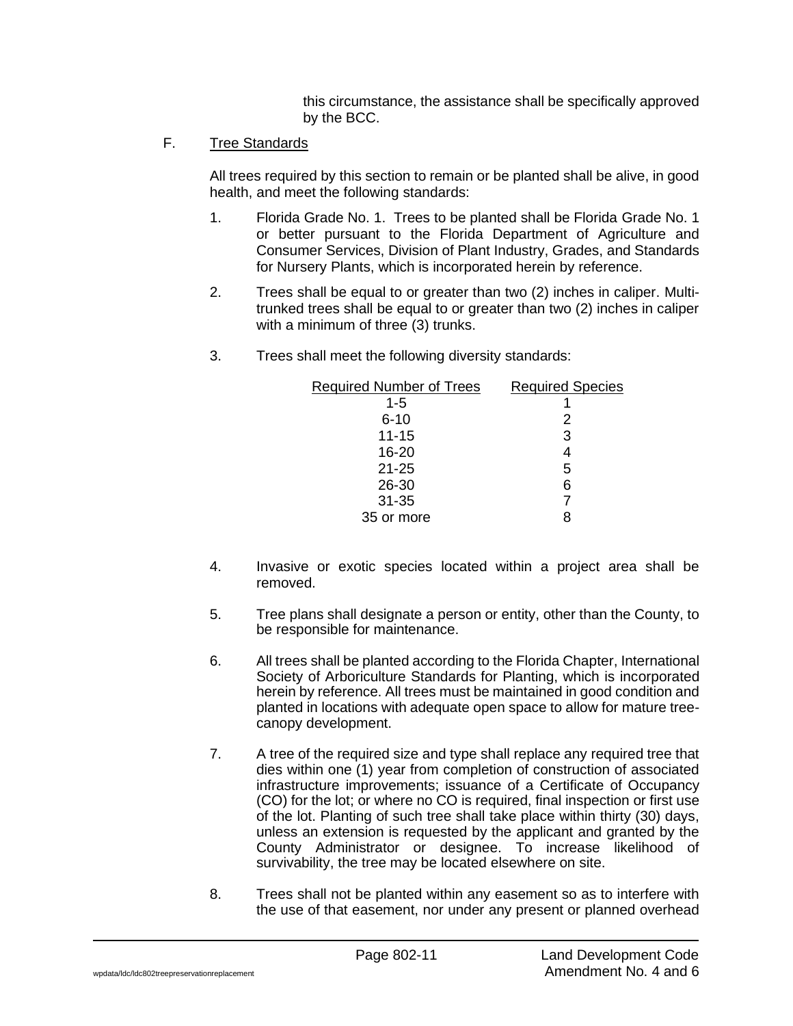this circumstance, the assistance shall be specifically approved by the BCC.

# F. Tree Standards

All trees required by this section to remain or be planted shall be alive, in good health, and meet the following standards:

- 1. Florida Grade No. 1. Trees to be planted shall be Florida Grade No. 1 or better pursuant to the Florida Department of Agriculture and Consumer Services, Division of Plant Industry, Grades, and Standards for Nursery Plants, which is incorporated herein by reference.
- 2. Trees shall be equal to or greater than two (2) inches in caliper. Multitrunked trees shall be equal to or greater than two (2) inches in caliper with a minimum of three (3) trunks.
- 3. Trees shall meet the following diversity standards:

| <b>Required Number of Trees</b> | <b>Required Species</b> |
|---------------------------------|-------------------------|
| $1 - 5$                         |                         |
| $6 - 10$                        | 2                       |
| $11 - 15$                       | 3                       |
| $16 - 20$                       | 4                       |
| $21 - 25$                       | 5                       |
| 26-30                           | 6                       |
| $31 - 35$                       |                         |
| 35 or more                      |                         |

- 4. Invasive or exotic species located within a project area shall be removed.
- 5. Tree plans shall designate a person or entity, other than the County, to be responsible for maintenance.
- 6. All trees shall be planted according to the Florida Chapter, International Society of Arboriculture Standards for Planting, which is incorporated herein by reference. All trees must be maintained in good condition and planted in locations with adequate open space to allow for mature treecanopy development.
- 7. A tree of the required size and type shall replace any required tree that dies within one (1) year from completion of construction of associated infrastructure improvements; issuance of a Certificate of Occupancy (CO) for the lot; or where no CO is required, final inspection or first use of the lot. Planting of such tree shall take place within thirty (30) days, unless an extension is requested by the applicant and granted by the County Administrator or designee. To increase likelihood of survivability, the tree may be located elsewhere on site.
- 8. Trees shall not be planted within any easement so as to interfere with the use of that easement, nor under any present or planned overhead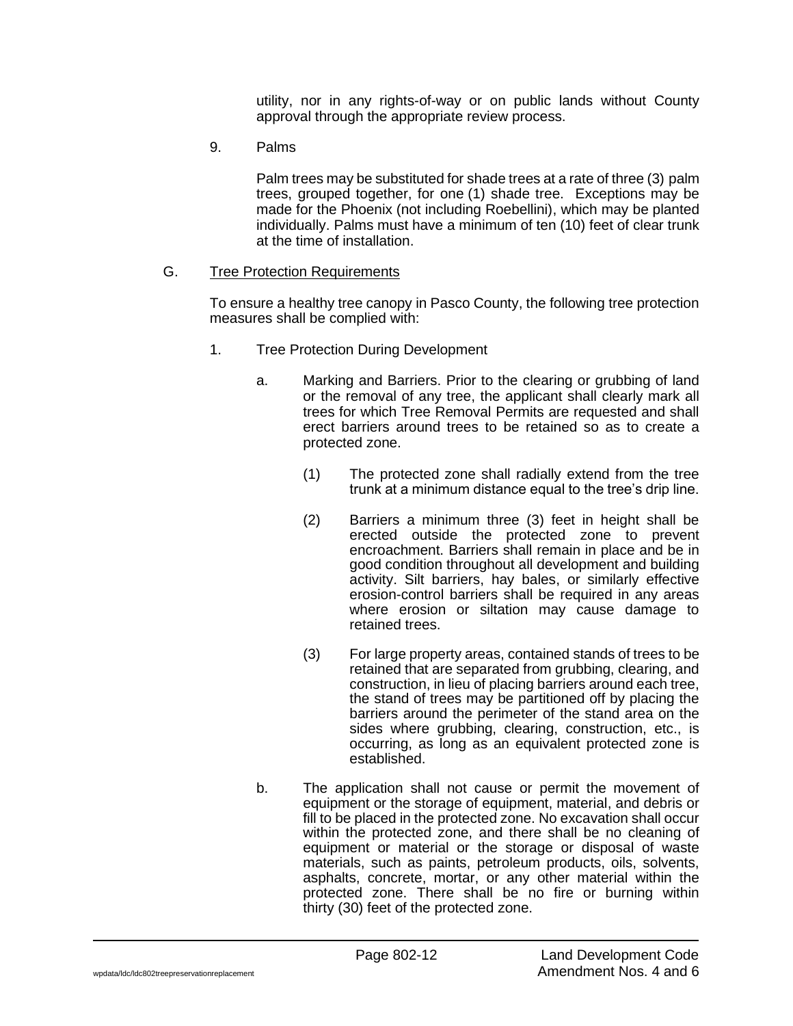utility, nor in any rights-of-way or on public lands without County approval through the appropriate review process.

9. Palms

Palm trees may be substituted for shade trees at a rate of three (3) palm trees, grouped together, for one (1) shade tree. Exceptions may be made for the Phoenix (not including Roebellini), which may be planted individually. Palms must have a minimum of ten (10) feet of clear trunk at the time of installation.

### G. Tree Protection Requirements

To ensure a healthy tree canopy in Pasco County, the following tree protection measures shall be complied with:

- 1. Tree Protection During Development
	- a. Marking and Barriers. Prior to the clearing or grubbing of land or the removal of any tree, the applicant shall clearly mark all trees for which Tree Removal Permits are requested and shall erect barriers around trees to be retained so as to create a protected zone.
		- (1) The protected zone shall radially extend from the tree trunk at a minimum distance equal to the tree's drip line.
		- (2) Barriers a minimum three (3) feet in height shall be erected outside the protected zone to prevent encroachment. Barriers shall remain in place and be in good condition throughout all development and building activity. Silt barriers, hay bales, or similarly effective erosion-control barriers shall be required in any areas where erosion or siltation may cause damage to retained trees.
		- (3) For large property areas, contained stands of trees to be retained that are separated from grubbing, clearing, and construction, in lieu of placing barriers around each tree, the stand of trees may be partitioned off by placing the barriers around the perimeter of the stand area on the sides where grubbing, clearing, construction, etc., is occurring, as long as an equivalent protected zone is established.
	- b. The application shall not cause or permit the movement of equipment or the storage of equipment, material, and debris or fill to be placed in the protected zone. No excavation shall occur within the protected zone, and there shall be no cleaning of equipment or material or the storage or disposal of waste materials, such as paints, petroleum products, oils, solvents, asphalts, concrete, mortar, or any other material within the protected zone. There shall be no fire or burning within thirty (30) feet of the protected zone.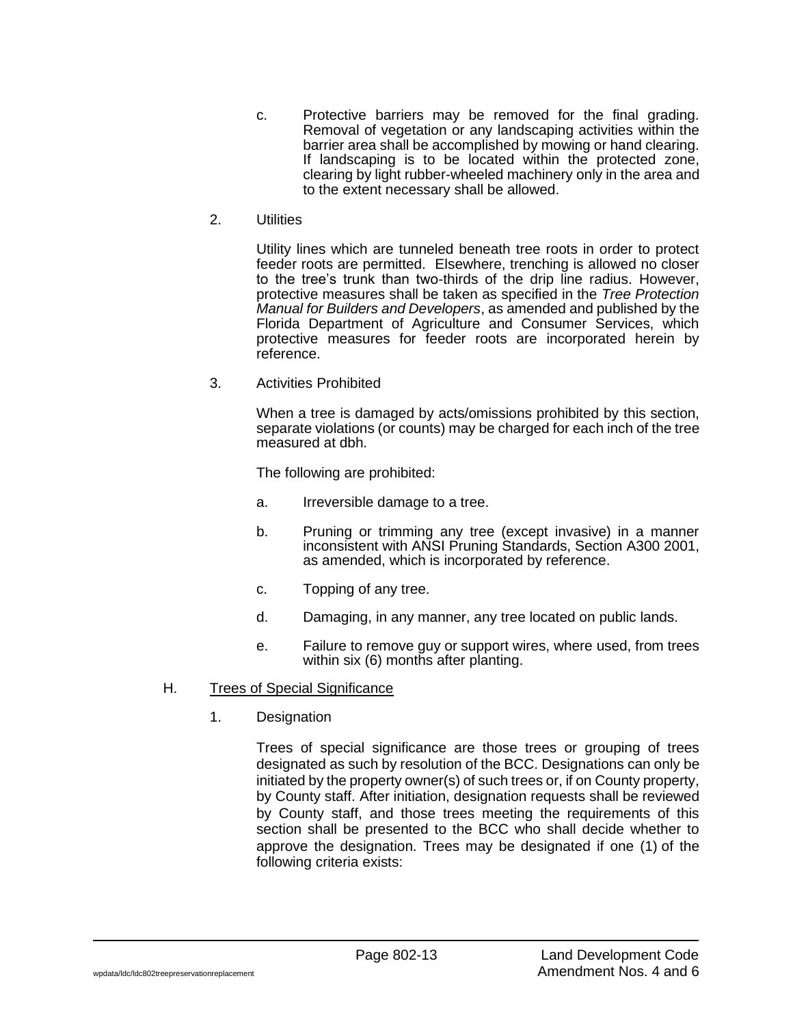- c. Protective barriers may be removed for the final grading. Removal of vegetation or any landscaping activities within the barrier area shall be accomplished by mowing or hand clearing. If landscaping is to be located within the protected zone, clearing by light rubber-wheeled machinery only in the area and to the extent necessary shall be allowed.
- 2. Utilities

Utility lines which are tunneled beneath tree roots in order to protect feeder roots are permitted. Elsewhere, trenching is allowed no closer to the tree's trunk than two-thirds of the drip line radius. However, protective measures shall be taken as specified in the *Tree Protection Manual for Builders and Developers*, as amended and published by the Florida Department of Agriculture and Consumer Services, which protective measures for feeder roots are incorporated herein by reference.

3. Activities Prohibited

When a tree is damaged by acts/omissions prohibited by this section, separate violations (or counts) may be charged for each inch of the tree measured at dbh.

The following are prohibited:

- a. Irreversible damage to a tree.
- b. Pruning or trimming any tree (except invasive) in a manner inconsistent with ANSI Pruning Standards, Section A300 2001, as amended, which is incorporated by reference.
- c. Topping of any tree.
- d. Damaging, in any manner, any tree located on public lands.
- e. Failure to remove guy or support wires, where used, from trees within six (6) months after planting.

# H. Trees of Special Significance

1. Designation

Trees of special significance are those trees or grouping of trees designated as such by resolution of the BCC. Designations can only be initiated by the property owner(s) of such trees or, if on County property, by County staff. After initiation, designation requests shall be reviewed by County staff, and those trees meeting the requirements of this section shall be presented to the BCC who shall decide whether to approve the designation. Trees may be designated if one (1) of the following criteria exists: